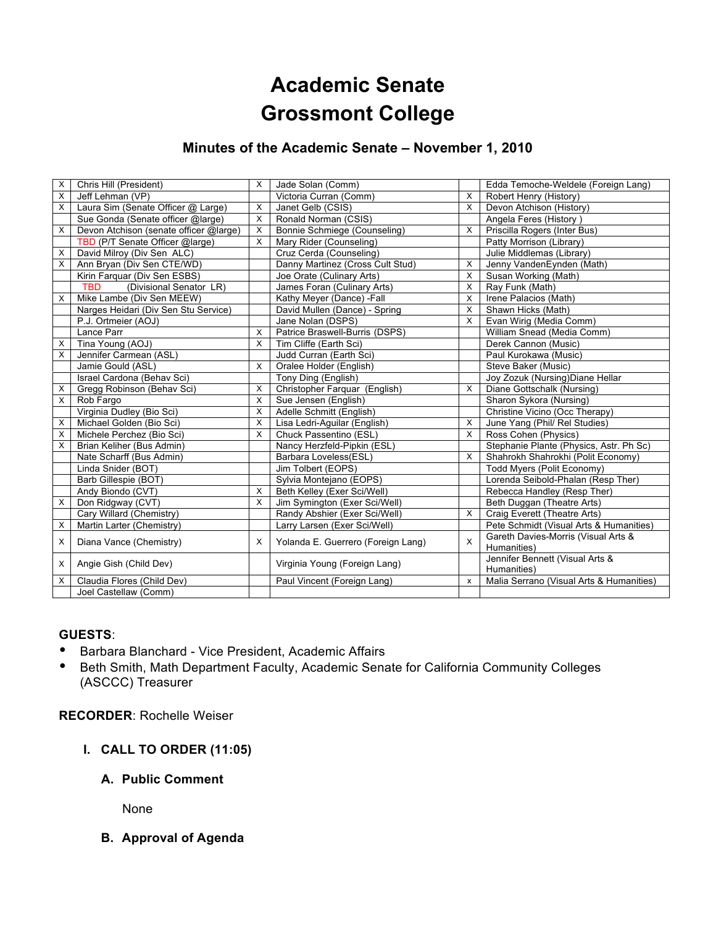# **Academic Senate Grossmont College**

## **Minutes of the Academic Senate – November 1, 2010**

| X              | Chris Hill (President)                 | $\times$     | Jade Solan (Comm)                  |                           | Edda Temoche-Weldele (Foreign Lang)      |
|----------------|----------------------------------------|--------------|------------------------------------|---------------------------|------------------------------------------|
| X              | Jeff Lehman (VP)                       |              | Victoria Curran (Comm)             | X                         | Robert Henry (History)                   |
| $\times$       | Laura Sim (Senate Officer @ Large)     | X            | Janet Gelb (CSIS)                  | X                         | Devon Atchison (History)                 |
|                | Sue Gonda (Senate officer @large)      | X            | Ronald Norman (CSIS)               |                           | Angela Feres (History)                   |
| X              | Devon Atchison (senate officer @large) | $\times$     | Bonnie Schmiege (Counseling)       | X                         | Priscilla Rogers (Inter Bus)             |
|                | TBD (P/T Senate Officer @large)        | X            | Mary Rider (Counseling)            |                           | Patty Morrison (Library)                 |
| X              | David Milroy (Div Sen ALC)             |              | Cruz Cerda (Counseling)            |                           | Julie Middlemas (Library)                |
| X              | Ann Bryan (Div Sen CTE/WD)             |              | Danny Martinez (Cross Cult Stud)   | X                         | Jenny VandenEynden (Math)                |
|                | Kirin Farquar (Div Sen ESBS)           |              | Joe Orate (Culinary Arts)          | X                         | Susan Working (Math)                     |
|                | <b>TBD</b><br>(Divisional Senator LR)  |              | James Foran (Culinary Arts)        | X                         | Ray Funk (Math)                          |
| X              | Mike Lambe (Div Sen MEEW)              |              | Kathy Meyer (Dance) - Fall         | X                         | Irene Palacios (Math)                    |
|                | Narges Heidari (Div Sen Stu Service)   |              | David Mullen (Dance) - Spring      | X                         | Shawn Hicks (Math)                       |
|                | P.J. Ortmeier (AOJ)                    |              | Jane Nolan (DSPS)                  | X                         | Evan Wirig (Media Comm)                  |
|                | Lance Parr                             | X            | Patrice Braswell-Burris (DSPS)     |                           | William Snead (Media Comm)               |
| $\times$       | Tina Young (AOJ)                       | $\mathsf{X}$ | Tim Cliffe (Earth Sci)             |                           | Derek Cannon (Music)                     |
| X              | Jennifer Carmean (ASL)                 |              | Judd Curran (Earth Sci)            |                           | Paul Kurokawa (Music)                    |
|                | Jamie Gould (ASL)                      | $\mathsf{X}$ | Oralee Holder (English)            |                           | Steve Baker (Music)                      |
|                | Israel Cardona (Behav Sci)             |              | Tony Ding (English)                |                           | Joy Zozuk (Nursing) Diane Hellar         |
| X              | Gregg Robinson (Behav Sci)             | $\times$     | Christopher Farquar (English)      | X                         | Diane Gottschalk (Nursing)               |
| $\pmb{\times}$ | Rob Fargo                              | $\mathsf{x}$ | Sue Jensen (English)               |                           | Sharon Sykora (Nursing)                  |
|                | Virginia Dudley (Bio Sci)              | X            | Adelle Schmitt (English)           |                           | Christine Vicino (Occ Therapy)           |
| X              | Michael Golden (Bio Sci)               | $\times$     | Lisa Ledri-Aguilar (English)       | X                         | June Yang (Phil/ Rel Studies)            |
| X              | Michele Perchez (Bio Sci)              | $\times$     | Chuck Passentino (ESL)             | X                         | Ross Cohen (Physics)                     |
| X              | Brian Keliher (Bus Admin)              |              | Nancy Herzfeld-Pipkin (ESL)        |                           | Stephanie Plante (Physics, Astr. Ph Sc)  |
|                | Nate Scharff (Bus Admin)               |              | Barbara Loveless(ESL)              | X                         | Shahrokh Shahrokhi (Polit Economy)       |
|                | Linda Snider (BOT)                     |              | Jim Tolbert (EOPS)                 |                           | Todd Myers (Polit Economy)               |
|                | Barb Gillespie (BOT)                   |              | Sylvia Montejano (EOPS)            |                           | Lorenda Seibold-Phalan (Resp Ther)       |
|                | Andy Biondo (CVT)                      | $\times$     | Beth Kelley (Exer Sci/Well)        |                           | Rebecca Handley (Resp Ther)              |
| X              | Don Ridgway (CVT)                      | $\times$     | Jim Symington (Exer Sci/Well)      |                           | Beth Duggan (Theatre Arts)               |
|                | Cary Willard (Chemistry)               |              | Randy Abshier (Exer Sci/Well)      | X                         | Craig Everett (Theatre Arts)             |
| X              | Martin Larter (Chemistry)              |              | Larry Larsen (Exer Sci/Well)       |                           | Pete Schmidt (Visual Arts & Humanities)  |
| X              |                                        |              |                                    | $\mathsf{x}$              | Gareth Davies-Morris (Visual Arts &      |
|                | Diana Vance (Chemistry)                | X            | Yolanda E. Guerrero (Foreign Lang) |                           | Humanities)                              |
| X              | Angie Gish (Child Dev)                 |              |                                    |                           | Jennifer Bennett (Visual Arts &          |
|                |                                        |              | Virginia Young (Foreign Lang)      |                           | Humanities)                              |
| X              | Claudia Flores (Child Dev)             |              | Paul Vincent (Foreign Lang)        | $\boldsymbol{\mathsf{x}}$ | Malia Serrano (Visual Arts & Humanities) |
|                | Joel Castellaw (Comm)                  |              |                                    |                           |                                          |

#### **GUESTS**:

- Barbara Blanchard Vice President, Academic Affairs
- Beth Smith, Math Department Faculty, Academic Senate for California Community Colleges (ASCCC) Treasurer

## **RECORDER**: Rochelle Weiser

- **I. CALL TO ORDER (11:05)**
	- **A. Public Comment**

None

**B. Approval of Agenda**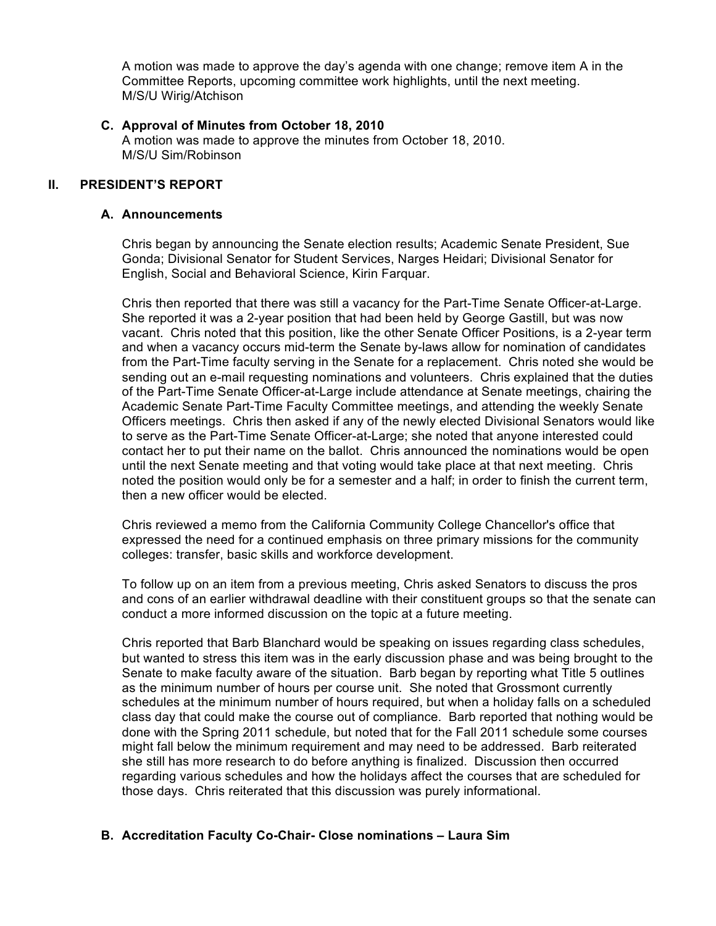A motion was made to approve the day's agenda with one change; remove item A in the Committee Reports, upcoming committee work highlights, until the next meeting. M/S/U Wirig/Atchison

#### **C. Approval of Minutes from October 18, 2010**

A motion was made to approve the minutes from October 18, 2010. M/S/U Sim/Robinson

#### **II. PRESIDENT'S REPORT**

#### **A. Announcements**

Chris began by announcing the Senate election results; Academic Senate President, Sue Gonda; Divisional Senator for Student Services, Narges Heidari; Divisional Senator for English, Social and Behavioral Science, Kirin Farquar.

Chris then reported that there was still a vacancy for the Part-Time Senate Officer-at-Large. She reported it was a 2-year position that had been held by George Gastill, but was now vacant. Chris noted that this position, like the other Senate Officer Positions, is a 2-year term and when a vacancy occurs mid-term the Senate by-laws allow for nomination of candidates from the Part-Time faculty serving in the Senate for a replacement. Chris noted she would be sending out an e-mail requesting nominations and volunteers. Chris explained that the duties of the Part-Time Senate Officer-at-Large include attendance at Senate meetings, chairing the Academic Senate Part-Time Faculty Committee meetings, and attending the weekly Senate Officers meetings. Chris then asked if any of the newly elected Divisional Senators would like to serve as the Part-Time Senate Officer-at-Large; she noted that anyone interested could contact her to put their name on the ballot. Chris announced the nominations would be open until the next Senate meeting and that voting would take place at that next meeting. Chris noted the position would only be for a semester and a half; in order to finish the current term, then a new officer would be elected.

Chris reviewed a memo from the California Community College Chancellor's office that expressed the need for a continued emphasis on three primary missions for the community colleges: transfer, basic skills and workforce development.

To follow up on an item from a previous meeting, Chris asked Senators to discuss the pros and cons of an earlier withdrawal deadline with their constituent groups so that the senate can conduct a more informed discussion on the topic at a future meeting.

Chris reported that Barb Blanchard would be speaking on issues regarding class schedules, but wanted to stress this item was in the early discussion phase and was being brought to the Senate to make faculty aware of the situation. Barb began by reporting what Title 5 outlines as the minimum number of hours per course unit. She noted that Grossmont currently schedules at the minimum number of hours required, but when a holiday falls on a scheduled class day that could make the course out of compliance. Barb reported that nothing would be done with the Spring 2011 schedule, but noted that for the Fall 2011 schedule some courses might fall below the minimum requirement and may need to be addressed. Barb reiterated she still has more research to do before anything is finalized. Discussion then occurred regarding various schedules and how the holidays affect the courses that are scheduled for those days. Chris reiterated that this discussion was purely informational.

## **B. Accreditation Faculty Co-Chair- Close nominations – Laura Sim**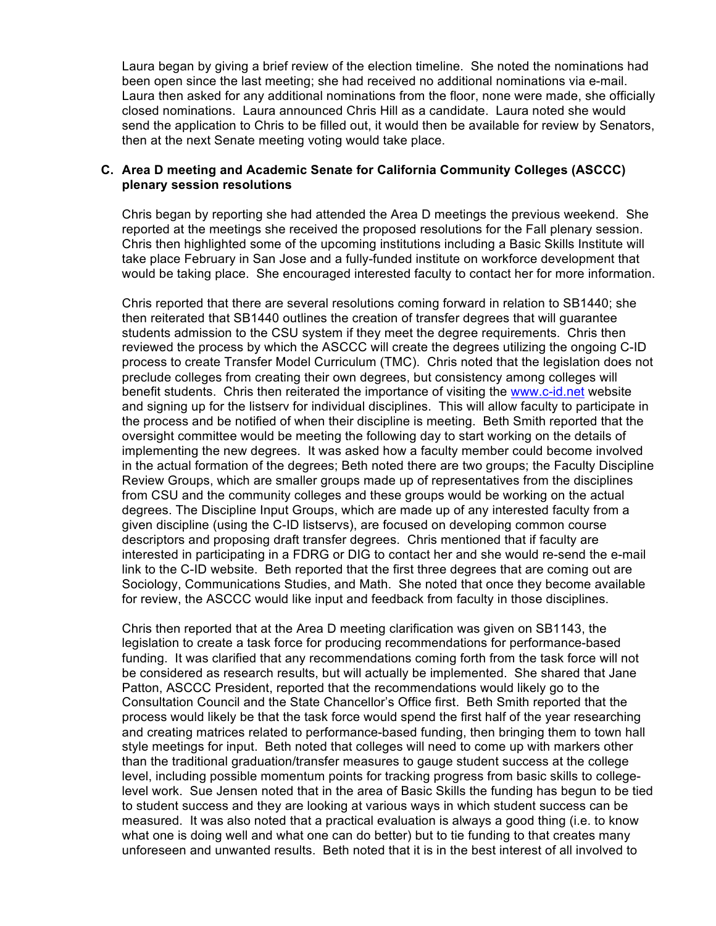Laura began by giving a brief review of the election timeline. She noted the nominations had been open since the last meeting; she had received no additional nominations via e-mail. Laura then asked for any additional nominations from the floor, none were made, she officially closed nominations. Laura announced Chris Hill as a candidate. Laura noted she would send the application to Chris to be filled out, it would then be available for review by Senators, then at the next Senate meeting voting would take place.

#### **C. Area D meeting and Academic Senate for California Community Colleges (ASCCC) plenary session resolutions**

Chris began by reporting she had attended the Area D meetings the previous weekend. She reported at the meetings she received the proposed resolutions for the Fall plenary session. Chris then highlighted some of the upcoming institutions including a Basic Skills Institute will take place February in San Jose and a fully-funded institute on workforce development that would be taking place. She encouraged interested faculty to contact her for more information.

Chris reported that there are several resolutions coming forward in relation to SB1440; she then reiterated that SB1440 outlines the creation of transfer degrees that will guarantee students admission to the CSU system if they meet the degree requirements. Chris then reviewed the process by which the ASCCC will create the degrees utilizing the ongoing C-ID process to create Transfer Model Curriculum (TMC). Chris noted that the legislation does not preclude colleges from creating their own degrees, but consistency among colleges will benefit students. Chris then reiterated the importance of visiting the www.c-id.net website and signing up for the listserv for individual disciplines. This will allow faculty to participate in the process and be notified of when their discipline is meeting. Beth Smith reported that the oversight committee would be meeting the following day to start working on the details of implementing the new degrees. It was asked how a faculty member could become involved in the actual formation of the degrees; Beth noted there are two groups; the Faculty Discipline Review Groups, which are smaller groups made up of representatives from the disciplines from CSU and the community colleges and these groups would be working on the actual degrees. The Discipline Input Groups, which are made up of any interested faculty from a given discipline (using the C-ID listservs), are focused on developing common course descriptors and proposing draft transfer degrees. Chris mentioned that if faculty are interested in participating in a FDRG or DIG to contact her and she would re-send the e-mail link to the C-ID website. Beth reported that the first three degrees that are coming out are Sociology, Communications Studies, and Math. She noted that once they become available for review, the ASCCC would like input and feedback from faculty in those disciplines.

Chris then reported that at the Area D meeting clarification was given on SB1143, the legislation to create a task force for producing recommendations for performance-based funding. It was clarified that any recommendations coming forth from the task force will not be considered as research results, but will actually be implemented. She shared that Jane Patton, ASCCC President, reported that the recommendations would likely go to the Consultation Council and the State Chancellor's Office first. Beth Smith reported that the process would likely be that the task force would spend the first half of the year researching and creating matrices related to performance-based funding, then bringing them to town hall style meetings for input. Beth noted that colleges will need to come up with markers other than the traditional graduation/transfer measures to gauge student success at the college level, including possible momentum points for tracking progress from basic skills to collegelevel work. Sue Jensen noted that in the area of Basic Skills the funding has begun to be tied to student success and they are looking at various ways in which student success can be measured. It was also noted that a practical evaluation is always a good thing (i.e. to know what one is doing well and what one can do better) but to tie funding to that creates many unforeseen and unwanted results. Beth noted that it is in the best interest of all involved to